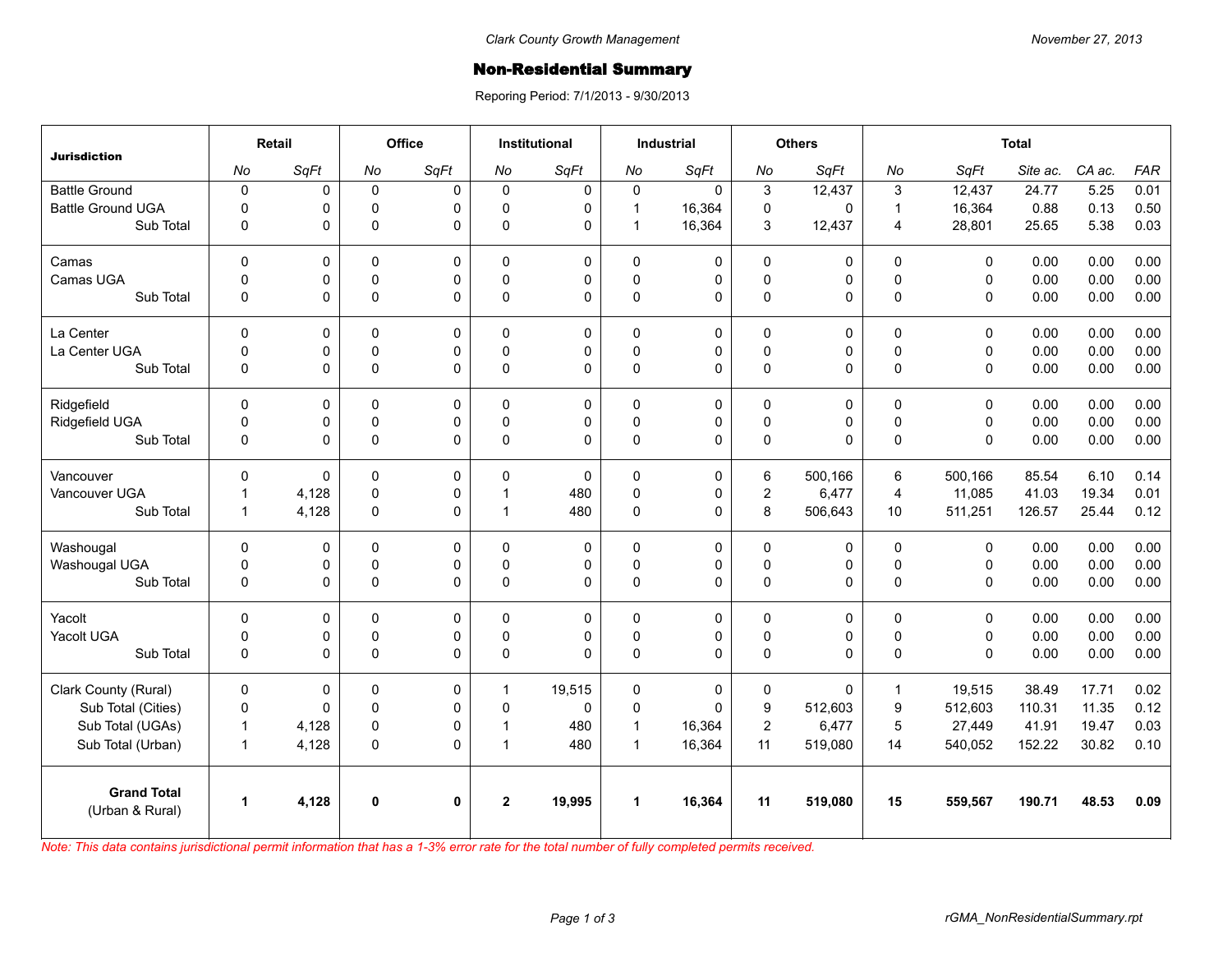## **Non-Residential Summary**

Reporing Period: 7/1/2013 - 9/30/2013

| <b>Jurisdiction</b>                   | Retail               |       | Office      |              | <b>Institutional</b> |             | <b>Industrial</b>    |              | <b>Others</b>    |         | <b>Total</b>     |              |          |        |            |
|---------------------------------------|----------------------|-------|-------------|--------------|----------------------|-------------|----------------------|--------------|------------------|---------|------------------|--------------|----------|--------|------------|
|                                       | No                   | SqFt  | No          | SqFt         | No                   | SqFt        | No                   | SqFt         | No               | SqFt    | No               | SqFt         | Site ac. | CA ac. | <b>FAR</b> |
| <b>Battle Ground</b>                  | $\pmb{0}$            | 0     | $\mathbf 0$ | $\Omega$     | 0                    | 0           | $\mathbf 0$          | $\Omega$     | $\mathbf{3}$     | 12,437  | 3                | 12,437       | 24.77    | 5.25   | 0.01       |
| <b>Battle Ground UGA</b>              | $\mathbf 0$          | 0     | $\mathbf 0$ | $\Omega$     | $\Omega$             | 0           | $\mathbf{1}$         | 16,364       | $\mathbf 0$      | 0       | $\mathbf{1}$     | 16,364       | 0.88     | 0.13   | 0.50       |
| Sub Total                             | 0                    | 0     | $\mathbf 0$ | $\Omega$     | $\mathbf{0}$         | $\mathbf 0$ | $\mathbf{1}$         | 16,364       | 3                | 12,437  | $\overline{4}$   | 28,801       | 25.65    | 5.38   | 0.03       |
| Camas                                 | $\Omega$             | 0     | $\Omega$    | $\Omega$     | $\Omega$             | 0           | $\Omega$             | $\mathbf 0$  | $\mathbf 0$      | 0       | $\Omega$         | $\mathbf{0}$ | 0.00     | 0.00   | 0.00       |
| Camas UGA                             | 0                    | 0     | $\mathsf 0$ | 0            | $\Omega$             | 0           | $\pmb{0}$            | 0            | $\mathbf 0$      | 0       | $\mathbf 0$      | $\mathbf 0$  | 0.00     | 0.00   | 0.00       |
| Sub Total                             | $\mathbf 0$          | 0     | $\pmb{0}$   | $\Omega$     | $\Omega$             | $\Omega$    | $\Omega$             | $\Omega$     | $\pmb{0}$        | 0       | $\mathbf 0$      | $\mathbf{0}$ | 0.00     | 0.00   | 0.00       |
| La Center                             | $\mathbf 0$          | 0     | $\mathbf 0$ | $\mathbf 0$  | $\Omega$             | $\mathbf 0$ | $\mathbf 0$          | 0            | $\pmb{0}$        | 0       | $\mathbf 0$      | $\mathbf 0$  | 0.00     | 0.00   | 0.00       |
| La Center UGA                         | 0                    | 0     | $\mathbf 0$ | $\mathbf 0$  | $\Omega$             | 0           | $\mathbf 0$          | $\mathbf 0$  | $\mathbf 0$      | 0       | $\pmb{0}$        | $\mathbf 0$  | 0.00     | 0.00   | 0.00       |
| Sub Total                             | $\mathbf 0$          | 0     | $\pmb{0}$   | $\Omega$     | $\Omega$             | 0           | $\pmb{0}$            | $\Omega$     | $\mathbf 0$      | 0       | $\mathbf 0$      | $\mathbf{0}$ | 0.00     | 0.00   | 0.00       |
| Ridgefield                            | $\Omega$             | 0     | 0           | $\Omega$     | 0                    | 0           | $\Omega$             | $\mathbf 0$  | 0                | 0       | 0                | $\mathbf{0}$ | 0.00     | 0.00   | 0.00       |
| Ridgefield UGA                        | 0                    | 0     | 0           | 0            | $\mathbf 0$          | 0           | $\mathsf 0$          | $\mathsf 0$  | $\mathsf 0$      | 0       | $\pmb{0}$        | $\mathbf 0$  | 0.00     | 0.00   | 0.00       |
| Sub Total                             | $\mathbf 0$          | 0     | $\pmb{0}$   | $\Omega$     | $\mathbf{0}$         | 0           | $\pmb{0}$            | $\mathbf{0}$ | $\pmb{0}$        | 0       | $\Omega$         | $\mathbf{0}$ | 0.00     | 0.00   | 0.00       |
| Vancouver                             | $\mathbf 0$          | 0     | $\mathbf 0$ | $\Omega$     | $\Omega$             | $\Omega$    | $\Omega$             | $\mathbf 0$  | $\,6$            | 500.166 | 6                | 500,166      | 85.54    | 6.10   | 0.14       |
| Vancouver UGA                         | $\mathbf{1}$         | 4,128 | 0           | 0            | 1                    | 480         | 0                    | 0            | $\overline{2}$   | 6,477   | $\overline{4}$   | 11,085       | 41.03    | 19.34  | 0.01       |
| Sub Total                             | $\mathbf{1}$         | 4,128 | $\mathbf 0$ | 0            | 1                    | 480         | $\pmb{0}$            | $\mathbf 0$  | 8                | 506,643 | 10 <sup>°</sup>  | 511,251      | 126.57   | 25.44  | 0.12       |
| Washougal                             | $\mathbf 0$          | 0     | 0           | 0            | 0                    | 0           | 0                    | $\mathbf 0$  | 0                | 0       | $\pmb{0}$        | $\mathbf 0$  | 0.00     | 0.00   | 0.00       |
| Washougal UGA                         | 0                    | 0     | $\mathbf 0$ | $\Omega$     | $\mathbf{0}$         | 0           | $\mathbf 0$          | 0            | $\pmb{0}$        | 0       | $\pmb{0}$        | $\mathbf 0$  | 0.00     | 0.00   | 0.00       |
| Sub Total                             | 0                    | 0     | $\pmb{0}$   | $\Omega$     | $\mathbf 0$          | $\Omega$    | $\pmb{0}$            | $\Omega$     | $\pmb{0}$        | 0       | $\pmb{0}$        | $\mathbf 0$  | 0.00     | 0.00   | 0.00       |
| Yacolt                                | $\Omega$             | 0     | $\mathbf 0$ | $\Omega$     | $\Omega$             | 0           | 0                    | 0            | $\mathbf 0$      | 0       | $\Omega$         | $\mathbf{0}$ | 0.00     | 0.00   | 0.00       |
| Yacolt UGA                            | 0                    | 0     | 0           | 0            | $\Omega$             | 0           | 0                    | 0            | $\mathsf 0$      | 0       | $\pmb{0}$        | $\mathsf 0$  | 0.00     | 0.00   | 0.00       |
| Sub Total                             | $\mathbf 0$          | 0     | $\Omega$    | $\Omega$     | $\Omega$             | $\Omega$    | $\Omega$             | $\mathbf{0}$ | $\pmb{0}$        | 0       | $\Omega$         | $\Omega$     | 0.00     | 0.00   | 0.00       |
| Clark County (Rural)                  | $\mathbf 0$          | 0     | 0           | 0            | $\mathbf 1$          | 19,515      | $\mathbf 0$          | $\mathbf 0$  | $\pmb{0}$        | 0       | $\mathbf{1}$     | 19,515       | 38.49    | 17.71  | 0.02       |
| Sub Total (Cities)                    | $\pmb{0}$            | 0     | $\mathbf 0$ | $\Omega$     | $\Omega$             | 0           | 0                    | $\Omega$     | $\boldsymbol{9}$ | 512,603 | $\boldsymbol{9}$ | 512,603      | 110.31   | 11.35  | 0.12       |
| Sub Total (UGAs)                      | $\mathbf{1}$         | 4,128 | 0           | 0            | 1                    | 480         | $\mathbf{1}$         | 16,364       | $\mathbf 2$      | 6,477   | $\overline{5}$   | 27,449       | 41.91    | 19.47  | 0.03       |
| Sub Total (Urban)                     | $\mathbf{1}$         | 4,128 | $\mathbf 0$ | 0            | $\overline{1}$       | 480         | $\mathbf{1}$         | 16,364       | 11               | 519,080 | 14               | 540,052      | 152.22   | 30.82  | 0.10       |
| <b>Grand Total</b><br>(Urban & Rural) | $\blacktriangleleft$ | 4,128 | $\mathbf 0$ | $\mathbf{0}$ | $\overline{2}$       | 19,995      | $\blacktriangleleft$ | 16,364       | 11               | 519,080 | 15               | 559,567      | 190.71   | 48.53  | 0.09       |
|                                       |                      |       |             |              |                      |             |                      |              |                  |         |                  |              |          |        |            |

*Note: This data contains jurisdictional permit information that has a 1-3% error rate for the total number of fully completed permits received.*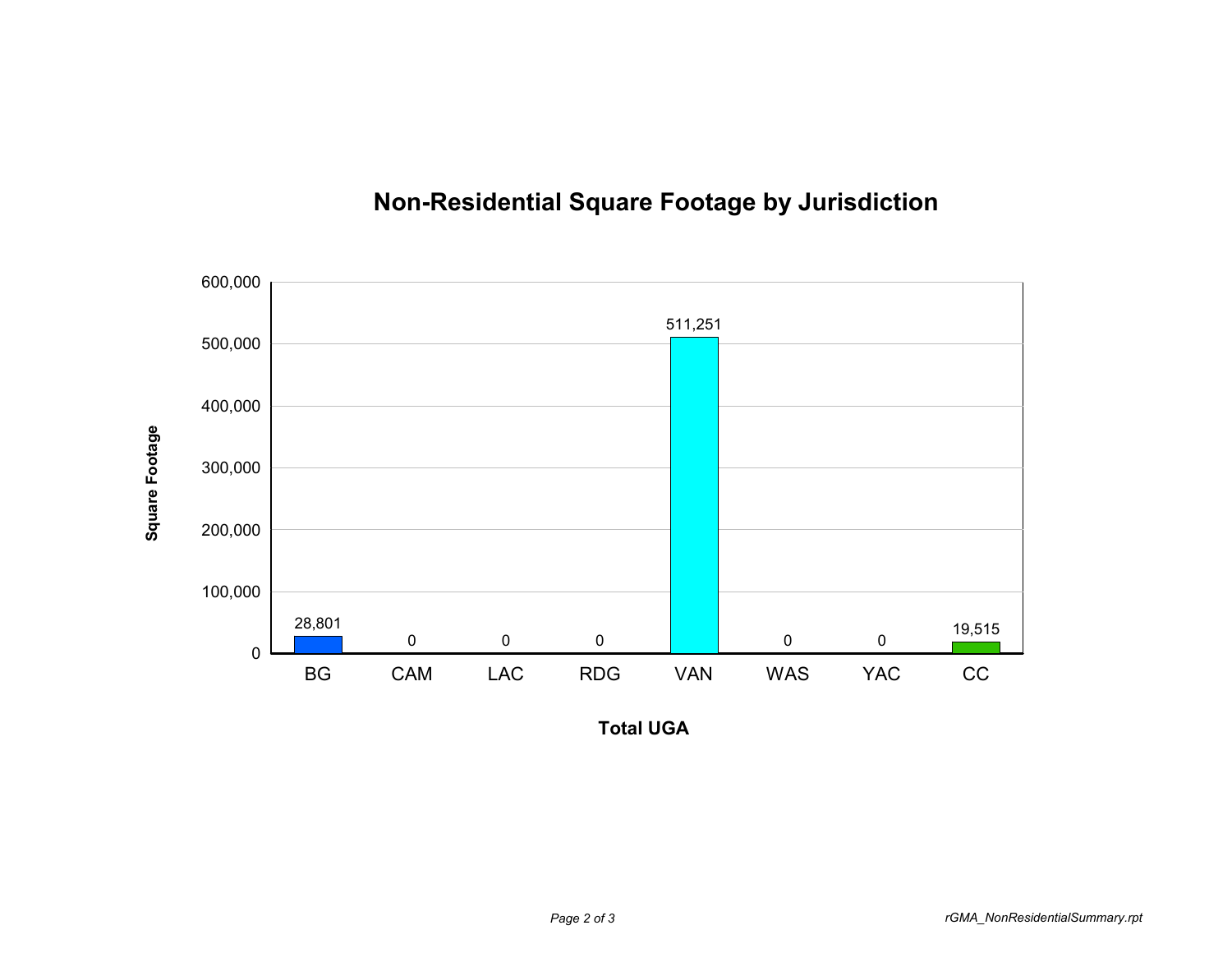

## **Non-Residential Square Footage by Jurisdiction**

**Total UGA**